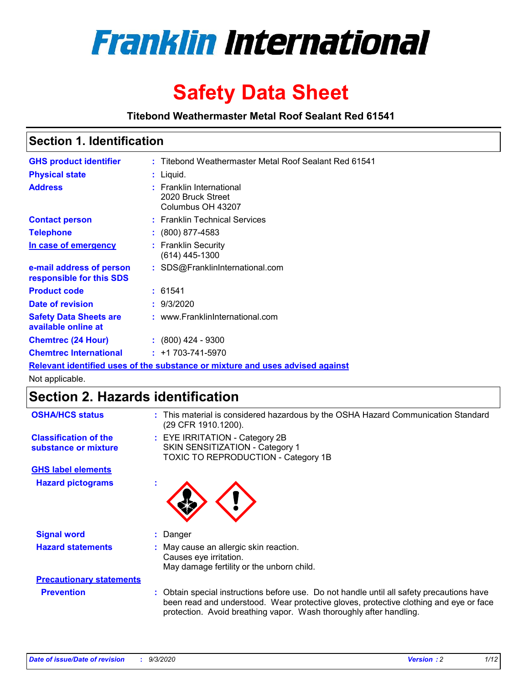

# **Safety Data Sheet**

**Titebond Weathermaster Metal Roof Sealant Red 61541**

### **Section 1. Identification**

| <b>GHS product identifier</b>                                                 |  | : Titebond Weathermaster Metal Roof Sealant Red 61541              |  |  |
|-------------------------------------------------------------------------------|--|--------------------------------------------------------------------|--|--|
| <b>Physical state</b>                                                         |  | : Liquid.                                                          |  |  |
| <b>Address</b>                                                                |  | : Franklin International<br>2020 Bruck Street<br>Columbus OH 43207 |  |  |
| <b>Contact person</b>                                                         |  | : Franklin Technical Services                                      |  |  |
| <b>Telephone</b>                                                              |  | $\div$ (800) 877-4583                                              |  |  |
| In case of emergency                                                          |  | : Franklin Security<br>(614) 445-1300                              |  |  |
| e-mail address of person<br>responsible for this SDS                          |  | : SDS@FranklinInternational.com                                    |  |  |
| <b>Product code</b>                                                           |  | : 61541                                                            |  |  |
| Date of revision                                                              |  | : 9/3/2020                                                         |  |  |
| <b>Safety Data Sheets are</b><br>available online at                          |  | : www.FranklinInternational.com                                    |  |  |
| <b>Chemtrec (24 Hour)</b>                                                     |  | $\div$ (800) 424 - 9300                                            |  |  |
| <b>Chemtrec International</b>                                                 |  | $: +1703 - 741 - 5970$                                             |  |  |
| Relevant identified uses of the substance or mixture and uses advised against |  |                                                                    |  |  |

Not applicable.

## **Section 2. Hazards identification**

| <b>OSHA/HCS status</b>                               |    | : This material is considered hazardous by the OSHA Hazard Communication Standard<br>(29 CFR 1910.1200).                                                                                                                                                 |
|------------------------------------------------------|----|----------------------------------------------------------------------------------------------------------------------------------------------------------------------------------------------------------------------------------------------------------|
| <b>Classification of the</b><br>substance or mixture |    | : EYE IRRITATION - Category 2B<br>SKIN SENSITIZATION - Category 1<br>TOXIC TO REPRODUCTION - Category 1B                                                                                                                                                 |
| <b>GHS label elements</b>                            |    |                                                                                                                                                                                                                                                          |
| <b>Hazard pictograms</b>                             | ٠  |                                                                                                                                                                                                                                                          |
| <b>Signal word</b>                                   | ÷. | Danger                                                                                                                                                                                                                                                   |
| <b>Hazard statements</b>                             |    | May cause an allergic skin reaction.<br>Causes eye irritation.<br>May damage fertility or the unborn child.                                                                                                                                              |
| <b>Precautionary statements</b>                      |    |                                                                                                                                                                                                                                                          |
| <b>Prevention</b>                                    |    | : Obtain special instructions before use. Do not handle until all safety precautions have<br>been read and understood. Wear protective gloves, protective clothing and eye or face<br>protection. Avoid breathing vapor. Wash thoroughly after handling. |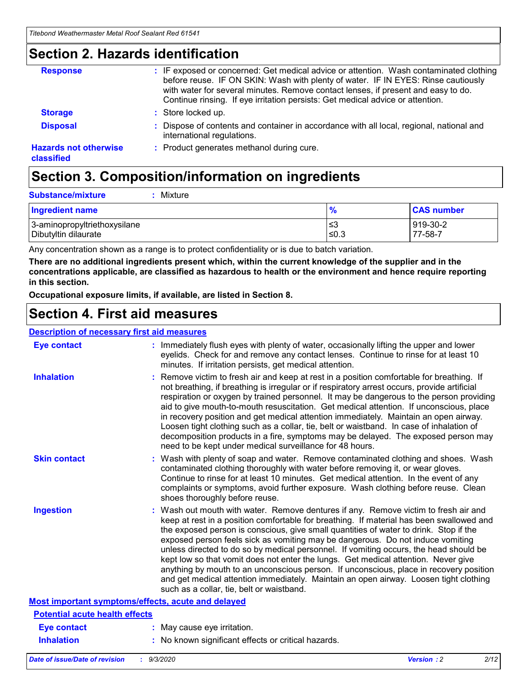### **Section 2. Hazards identification**

| <b>Response</b>                            | : IF exposed or concerned: Get medical advice or attention. Wash contaminated clothing<br>before reuse. IF ON SKIN: Wash with plenty of water. IF IN EYES: Rinse cautiously<br>with water for several minutes. Remove contact lenses, if present and easy to do.<br>Continue rinsing. If eye irritation persists: Get medical advice or attention. |
|--------------------------------------------|----------------------------------------------------------------------------------------------------------------------------------------------------------------------------------------------------------------------------------------------------------------------------------------------------------------------------------------------------|
| <b>Storage</b>                             | : Store locked up.                                                                                                                                                                                                                                                                                                                                 |
| <b>Disposal</b>                            | : Dispose of contents and container in accordance with all local, regional, national and<br>international regulations.                                                                                                                                                                                                                             |
| <b>Hazards not otherwise</b><br>classified | : Product generates methanol during cure.                                                                                                                                                                                                                                                                                                          |

## **Section 3. Composition/information on ingredients**

| <b>Substance/mixture</b> | Mixture |
|--------------------------|---------|
|                          |         |

| <b>Ingredient name</b>       | $\frac{9}{6}$ | <b>CAS number</b> |
|------------------------------|---------------|-------------------|
| 3-aminopropyltriethoxysilane | ՝≤3           | 919-30-2          |
| Dibutyltin dilaurate         | ∣≤0.3         | 77-58-7           |

Any concentration shown as a range is to protect confidentiality or is due to batch variation.

**There are no additional ingredients present which, within the current knowledge of the supplier and in the concentrations applicable, are classified as hazardous to health or the environment and hence require reporting in this section.**

**Occupational exposure limits, if available, are listed in Section 8.**

### **Section 4. First aid measures**

| <b>Description of necessary first aid measures</b> |                                                                                                                                                                                                                                                                                                                                                                                                                                                                                                                                                                                                                                                                                                                                                                           |
|----------------------------------------------------|---------------------------------------------------------------------------------------------------------------------------------------------------------------------------------------------------------------------------------------------------------------------------------------------------------------------------------------------------------------------------------------------------------------------------------------------------------------------------------------------------------------------------------------------------------------------------------------------------------------------------------------------------------------------------------------------------------------------------------------------------------------------------|
| <b>Eye contact</b>                                 | : Immediately flush eyes with plenty of water, occasionally lifting the upper and lower<br>eyelids. Check for and remove any contact lenses. Continue to rinse for at least 10<br>minutes. If irritation persists, get medical attention.                                                                                                                                                                                                                                                                                                                                                                                                                                                                                                                                 |
| <b>Inhalation</b>                                  | : Remove victim to fresh air and keep at rest in a position comfortable for breathing. If<br>not breathing, if breathing is irregular or if respiratory arrest occurs, provide artificial<br>respiration or oxygen by trained personnel. It may be dangerous to the person providing<br>aid to give mouth-to-mouth resuscitation. Get medical attention. If unconscious, place<br>in recovery position and get medical attention immediately. Maintain an open airway.<br>Loosen tight clothing such as a collar, tie, belt or waistband. In case of inhalation of<br>decomposition products in a fire, symptoms may be delayed. The exposed person may<br>need to be kept under medical surveillance for 48 hours.                                                       |
| <b>Skin contact</b>                                | : Wash with plenty of soap and water. Remove contaminated clothing and shoes. Wash<br>contaminated clothing thoroughly with water before removing it, or wear gloves.<br>Continue to rinse for at least 10 minutes. Get medical attention. In the event of any<br>complaints or symptoms, avoid further exposure. Wash clothing before reuse. Clean<br>shoes thoroughly before reuse.                                                                                                                                                                                                                                                                                                                                                                                     |
| <b>Ingestion</b>                                   | : Wash out mouth with water. Remove dentures if any. Remove victim to fresh air and<br>keep at rest in a position comfortable for breathing. If material has been swallowed and<br>the exposed person is conscious, give small quantities of water to drink. Stop if the<br>exposed person feels sick as vomiting may be dangerous. Do not induce vomiting<br>unless directed to do so by medical personnel. If vomiting occurs, the head should be<br>kept low so that vomit does not enter the lungs. Get medical attention. Never give<br>anything by mouth to an unconscious person. If unconscious, place in recovery position<br>and get medical attention immediately. Maintain an open airway. Loosen tight clothing<br>such as a collar, tie, belt or waistband. |
| Most important symptoms/effects, acute and delayed |                                                                                                                                                                                                                                                                                                                                                                                                                                                                                                                                                                                                                                                                                                                                                                           |
| <b>Potential acute health effects</b>              |                                                                                                                                                                                                                                                                                                                                                                                                                                                                                                                                                                                                                                                                                                                                                                           |
| Eye contact                                        | : May cause eye irritation.                                                                                                                                                                                                                                                                                                                                                                                                                                                                                                                                                                                                                                                                                                                                               |
| <b>Inhalation</b>                                  | : No known significant effects or critical hazards.                                                                                                                                                                                                                                                                                                                                                                                                                                                                                                                                                                                                                                                                                                                       |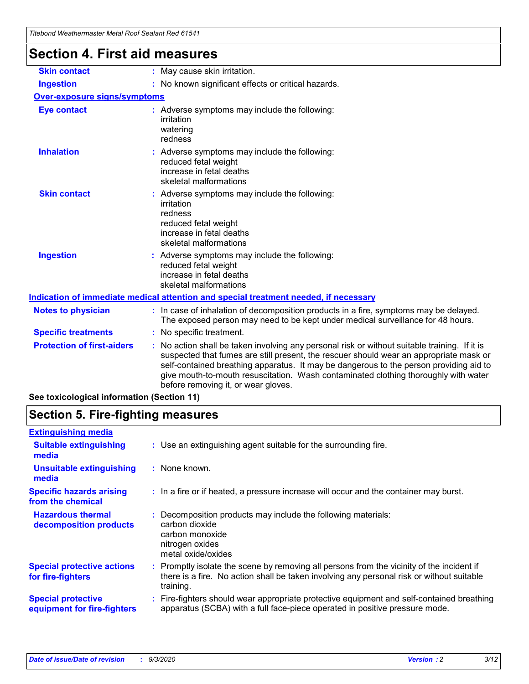| <b>Section 4. First aid measures</b> |                                                                                                                                                                                                                                                                                                                                                                                                                 |
|--------------------------------------|-----------------------------------------------------------------------------------------------------------------------------------------------------------------------------------------------------------------------------------------------------------------------------------------------------------------------------------------------------------------------------------------------------------------|
| <b>Skin contact</b>                  | : May cause skin irritation.                                                                                                                                                                                                                                                                                                                                                                                    |
| <b>Ingestion</b>                     | : No known significant effects or critical hazards.                                                                                                                                                                                                                                                                                                                                                             |
| <b>Over-exposure signs/symptoms</b>  |                                                                                                                                                                                                                                                                                                                                                                                                                 |
| <b>Eye contact</b>                   | : Adverse symptoms may include the following:<br>irritation<br>watering<br>redness                                                                                                                                                                                                                                                                                                                              |
| <b>Inhalation</b>                    | : Adverse symptoms may include the following:<br>reduced fetal weight<br>increase in fetal deaths<br>skeletal malformations                                                                                                                                                                                                                                                                                     |
| <b>Skin contact</b>                  | : Adverse symptoms may include the following:<br>irritation<br>redness<br>reduced fetal weight<br>increase in fetal deaths<br>skeletal malformations                                                                                                                                                                                                                                                            |
| <b>Ingestion</b>                     | : Adverse symptoms may include the following:<br>reduced fetal weight<br>increase in fetal deaths<br>skeletal malformations                                                                                                                                                                                                                                                                                     |
|                                      | Indication of immediate medical attention and special treatment needed, if necessary                                                                                                                                                                                                                                                                                                                            |
| <b>Notes to physician</b>            | : In case of inhalation of decomposition products in a fire, symptoms may be delayed.<br>The exposed person may need to be kept under medical surveillance for 48 hours.                                                                                                                                                                                                                                        |
| <b>Specific treatments</b>           | : No specific treatment.                                                                                                                                                                                                                                                                                                                                                                                        |
| <b>Protection of first-aiders</b>    | : No action shall be taken involving any personal risk or without suitable training. If it is<br>suspected that fumes are still present, the rescuer should wear an appropriate mask or<br>self-contained breathing apparatus. It may be dangerous to the person providing aid to<br>give mouth-to-mouth resuscitation. Wash contaminated clothing thoroughly with water<br>before removing it, or wear gloves. |

**See toxicological information (Section 11)**

### **Section 5. Fire-fighting measures**

| <b>Extinguishing media</b>                               |                                                                                                                                                                                                     |
|----------------------------------------------------------|-----------------------------------------------------------------------------------------------------------------------------------------------------------------------------------------------------|
| <b>Suitable extinguishing</b><br>media                   | : Use an extinguishing agent suitable for the surrounding fire.                                                                                                                                     |
| <b>Unsuitable extinguishing</b><br>media                 | $:$ None known.                                                                                                                                                                                     |
| <b>Specific hazards arising</b><br>from the chemical     | : In a fire or if heated, a pressure increase will occur and the container may burst.                                                                                                               |
| <b>Hazardous thermal</b><br>decomposition products       | Decomposition products may include the following materials:<br>carbon dioxide<br>carbon monoxide<br>nitrogen oxides<br>metal oxide/oxides                                                           |
| <b>Special protective actions</b><br>for fire-fighters   | : Promptly isolate the scene by removing all persons from the vicinity of the incident if<br>there is a fire. No action shall be taken involving any personal risk or without suitable<br>training. |
| <b>Special protective</b><br>equipment for fire-fighters | Fire-fighters should wear appropriate protective equipment and self-contained breathing<br>apparatus (SCBA) with a full face-piece operated in positive pressure mode.                              |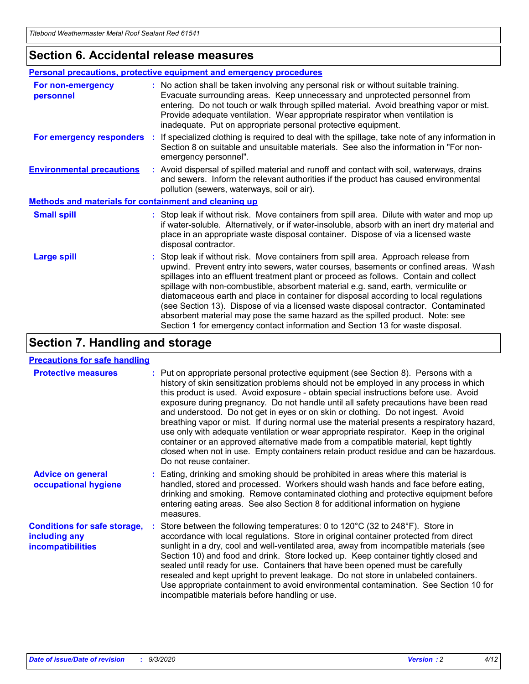### **Section 6. Accidental release measures**

|                                                              | Personal precautions, protective equipment and emergency procedures                                                                                                                                                                                                                                                                                                                                                                                                                                                                                                                                                                                                                                          |
|--------------------------------------------------------------|--------------------------------------------------------------------------------------------------------------------------------------------------------------------------------------------------------------------------------------------------------------------------------------------------------------------------------------------------------------------------------------------------------------------------------------------------------------------------------------------------------------------------------------------------------------------------------------------------------------------------------------------------------------------------------------------------------------|
| For non-emergency<br>personnel                               | : No action shall be taken involving any personal risk or without suitable training.<br>Evacuate surrounding areas. Keep unnecessary and unprotected personnel from<br>entering. Do not touch or walk through spilled material. Avoid breathing vapor or mist.<br>Provide adequate ventilation. Wear appropriate respirator when ventilation is<br>inadequate. Put on appropriate personal protective equipment.                                                                                                                                                                                                                                                                                             |
| For emergency responders                                     | : If specialized clothing is required to deal with the spillage, take note of any information in<br>Section 8 on suitable and unsuitable materials. See also the information in "For non-<br>emergency personnel".                                                                                                                                                                                                                                                                                                                                                                                                                                                                                           |
| <b>Environmental precautions</b>                             | : Avoid dispersal of spilled material and runoff and contact with soil, waterways, drains<br>and sewers. Inform the relevant authorities if the product has caused environmental<br>pollution (sewers, waterways, soil or air).                                                                                                                                                                                                                                                                                                                                                                                                                                                                              |
| <b>Methods and materials for containment and cleaning up</b> |                                                                                                                                                                                                                                                                                                                                                                                                                                                                                                                                                                                                                                                                                                              |
| <b>Small spill</b>                                           | : Stop leak if without risk. Move containers from spill area. Dilute with water and mop up<br>if water-soluble. Alternatively, or if water-insoluble, absorb with an inert dry material and<br>place in an appropriate waste disposal container. Dispose of via a licensed waste<br>disposal contractor.                                                                                                                                                                                                                                                                                                                                                                                                     |
| <b>Large spill</b>                                           | : Stop leak if without risk. Move containers from spill area. Approach release from<br>upwind. Prevent entry into sewers, water courses, basements or confined areas. Wash<br>spillages into an effluent treatment plant or proceed as follows. Contain and collect<br>spillage with non-combustible, absorbent material e.g. sand, earth, vermiculite or<br>diatomaceous earth and place in container for disposal according to local regulations<br>(see Section 13). Dispose of via a licensed waste disposal contractor. Contaminated<br>absorbent material may pose the same hazard as the spilled product. Note: see<br>Section 1 for emergency contact information and Section 13 for waste disposal. |

### **Section 7. Handling and storage**

#### **Precautions for safe handling**

| <b>Protective measures</b>                                                       | : Put on appropriate personal protective equipment (see Section 8). Persons with a<br>history of skin sensitization problems should not be employed in any process in which<br>this product is used. Avoid exposure - obtain special instructions before use. Avoid<br>exposure during pregnancy. Do not handle until all safety precautions have been read<br>and understood. Do not get in eyes or on skin or clothing. Do not ingest. Avoid<br>breathing vapor or mist. If during normal use the material presents a respiratory hazard,<br>use only with adequate ventilation or wear appropriate respirator. Keep in the original<br>container or an approved alternative made from a compatible material, kept tightly<br>closed when not in use. Empty containers retain product residue and can be hazardous.<br>Do not reuse container. |
|----------------------------------------------------------------------------------|--------------------------------------------------------------------------------------------------------------------------------------------------------------------------------------------------------------------------------------------------------------------------------------------------------------------------------------------------------------------------------------------------------------------------------------------------------------------------------------------------------------------------------------------------------------------------------------------------------------------------------------------------------------------------------------------------------------------------------------------------------------------------------------------------------------------------------------------------|
| <b>Advice on general</b><br>occupational hygiene                                 | : Eating, drinking and smoking should be prohibited in areas where this material is<br>handled, stored and processed. Workers should wash hands and face before eating,<br>drinking and smoking. Remove contaminated clothing and protective equipment before<br>entering eating areas. See also Section 8 for additional information on hygiene<br>measures.                                                                                                                                                                                                                                                                                                                                                                                                                                                                                    |
| <b>Conditions for safe storage,</b><br>including any<br><i>incompatibilities</i> | Store between the following temperatures: 0 to $120^{\circ}$ C (32 to $248^{\circ}$ F). Store in<br>accordance with local regulations. Store in original container protected from direct<br>sunlight in a dry, cool and well-ventilated area, away from incompatible materials (see<br>Section 10) and food and drink. Store locked up. Keep container tightly closed and<br>sealed until ready for use. Containers that have been opened must be carefully<br>resealed and kept upright to prevent leakage. Do not store in unlabeled containers.<br>Use appropriate containment to avoid environmental contamination. See Section 10 for<br>incompatible materials before handling or use.                                                                                                                                                     |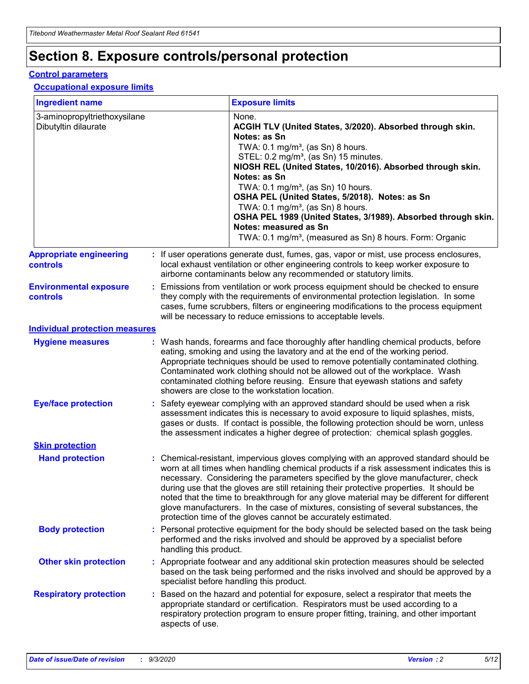## **Section 8. Exposure controls/personal protection**

#### **Control parameters**

#### **Occupational exposure limits**

| <b>Ingredient name</b>                               |    |                        | <b>Exposure limits</b>                                                                                                                                                                                                                                                                                                                                                                                                                                                                                                                                                                                                 |
|------------------------------------------------------|----|------------------------|------------------------------------------------------------------------------------------------------------------------------------------------------------------------------------------------------------------------------------------------------------------------------------------------------------------------------------------------------------------------------------------------------------------------------------------------------------------------------------------------------------------------------------------------------------------------------------------------------------------------|
| 3-aminopropyltriethoxysilane<br>Dibutyltin dilaurate |    |                        | None.<br>ACGIH TLV (United States, 3/2020). Absorbed through skin.<br>Notes: as Sn<br>TWA: $0.1 \text{ mg/m}^3$ , (as Sn) 8 hours.<br>STEL: 0.2 mg/m <sup>3</sup> , (as Sn) 15 minutes.<br>NIOSH REL (United States, 10/2016). Absorbed through skin.<br>Notes: as Sn<br>TWA: 0.1 mg/m <sup>3</sup> , (as Sn) 10 hours.<br>OSHA PEL (United States, 5/2018). Notes: as Sn<br>TWA: $0.1 \text{ mg/m}^3$ , (as Sn) 8 hours.<br>OSHA PEL 1989 (United States, 3/1989). Absorbed through skin.<br>Notes: measured as Sn<br>TWA: 0.1 mg/m <sup>3</sup> , (measured as Sn) 8 hours. Form: Organic                            |
| <b>Appropriate engineering</b><br>controls           |    |                        | : If user operations generate dust, fumes, gas, vapor or mist, use process enclosures,<br>local exhaust ventilation or other engineering controls to keep worker exposure to<br>airborne contaminants below any recommended or statutory limits.                                                                                                                                                                                                                                                                                                                                                                       |
| <b>Environmental exposure</b><br>controls            |    |                        | Emissions from ventilation or work process equipment should be checked to ensure<br>they comply with the requirements of environmental protection legislation. In some<br>cases, fume scrubbers, filters or engineering modifications to the process equipment<br>will be necessary to reduce emissions to acceptable levels.                                                                                                                                                                                                                                                                                          |
| <b>Individual protection measures</b>                |    |                        |                                                                                                                                                                                                                                                                                                                                                                                                                                                                                                                                                                                                                        |
| <b>Hygiene measures</b>                              |    |                        | : Wash hands, forearms and face thoroughly after handling chemical products, before<br>eating, smoking and using the lavatory and at the end of the working period.<br>Appropriate techniques should be used to remove potentially contaminated clothing.<br>Contaminated work clothing should not be allowed out of the workplace. Wash<br>contaminated clothing before reusing. Ensure that eyewash stations and safety<br>showers are close to the workstation location.                                                                                                                                            |
| <b>Eye/face protection</b>                           |    |                        | : Safety eyewear complying with an approved standard should be used when a risk<br>assessment indicates this is necessary to avoid exposure to liquid splashes, mists,<br>gases or dusts. If contact is possible, the following protection should be worn, unless<br>the assessment indicates a higher degree of protection: chemical splash goggles.                                                                                                                                                                                                                                                                  |
| <b>Skin protection</b>                               |    |                        |                                                                                                                                                                                                                                                                                                                                                                                                                                                                                                                                                                                                                        |
| <b>Hand protection</b>                               |    |                        | : Chemical-resistant, impervious gloves complying with an approved standard should be<br>worn at all times when handling chemical products if a risk assessment indicates this is<br>necessary. Considering the parameters specified by the glove manufacturer, check<br>during use that the gloves are still retaining their protective properties. It should be<br>noted that the time to breakthrough for any glove material may be different for different<br>glove manufacturers. In the case of mixtures, consisting of several substances, the<br>protection time of the gloves cannot be accurately estimated. |
| <b>Body protection</b>                               |    | handling this product. | Personal protective equipment for the body should be selected based on the task being<br>performed and the risks involved and should be approved by a specialist before                                                                                                                                                                                                                                                                                                                                                                                                                                                |
| <b>Other skin protection</b>                         |    |                        | : Appropriate footwear and any additional skin protection measures should be selected<br>based on the task being performed and the risks involved and should be approved by a<br>specialist before handling this product.                                                                                                                                                                                                                                                                                                                                                                                              |
| <b>Respiratory protection</b>                        | ÷. | aspects of use.        | Based on the hazard and potential for exposure, select a respirator that meets the<br>appropriate standard or certification. Respirators must be used according to a<br>respiratory protection program to ensure proper fitting, training, and other important                                                                                                                                                                                                                                                                                                                                                         |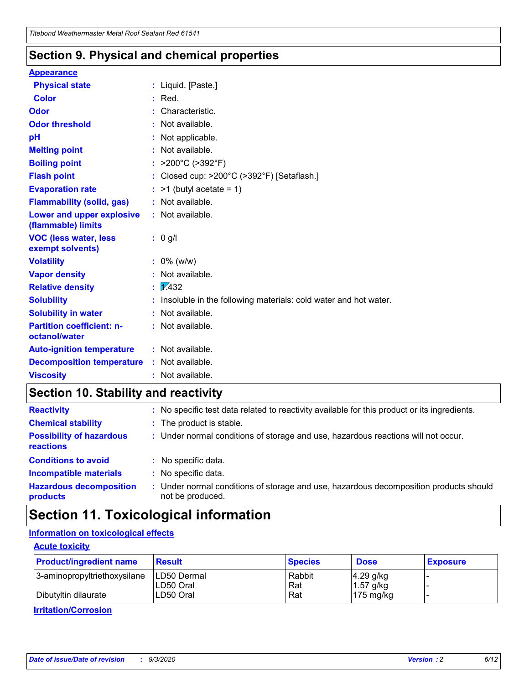### **Section 9. Physical and chemical properties**

#### **Appearance**

| <b>Physical state</b>                             |    | : Liquid. [Paste.]                                              |
|---------------------------------------------------|----|-----------------------------------------------------------------|
| <b>Color</b>                                      |    | Red.                                                            |
| Odor                                              |    | Characteristic.                                                 |
| <b>Odor threshold</b>                             | ÷. | Not available.                                                  |
| рH                                                |    | Not applicable.                                                 |
| <b>Melting point</b>                              |    | : Not available.                                                |
| <b>Boiling point</b>                              |    | >200°C (>392°F)                                                 |
| <b>Flash point</b>                                |    | Closed cup: >200°C (>392°F) [Setaflash.]                        |
| <b>Evaporation rate</b>                           |    | $:$ >1 (butyl acetate = 1)                                      |
| <b>Flammability (solid, gas)</b>                  |    | : Not available.                                                |
| Lower and upper explosive<br>(flammable) limits   |    | : Not available.                                                |
| <b>VOC (less water, less</b><br>exempt solvents)  |    | : 0 g/l                                                         |
| <b>Volatility</b>                                 |    | $: 0\%$ (w/w)                                                   |
| <b>Vapor density</b>                              |    | Not available.                                                  |
| <b>Relative density</b>                           |    | $\mathbf{1}$ $\mathbf{\sqrt{4}}$ 32                             |
| <b>Solubility</b>                                 |    | Insoluble in the following materials: cold water and hot water. |
| <b>Solubility in water</b>                        |    | Not available.                                                  |
| <b>Partition coefficient: n-</b><br>octanol/water |    | $:$ Not available.                                              |
| <b>Auto-ignition temperature</b>                  |    | : Not available.                                                |
| <b>Decomposition temperature</b>                  |    | : Not available.                                                |
| <b>Viscosity</b>                                  |    | : Not available.                                                |

### **Section 10. Stability and reactivity**

| <b>Reactivity</b>                            |    | : No specific test data related to reactivity available for this product or its ingredients.            |
|----------------------------------------------|----|---------------------------------------------------------------------------------------------------------|
| <b>Chemical stability</b>                    |    | : The product is stable.                                                                                |
| <b>Possibility of hazardous</b><br>reactions |    | : Under normal conditions of storage and use, hazardous reactions will not occur.                       |
| <b>Conditions to avoid</b>                   |    | : No specific data.                                                                                     |
| <b>Incompatible materials</b>                |    | : No specific data.                                                                                     |
| <b>Hazardous decomposition</b><br>products   | t. | Under normal conditions of storage and use, hazardous decomposition products should<br>not be produced. |

## **Section 11. Toxicological information**

### **Information on toxicological effects**

#### **Acute toxicity**

| <b>Product/ingredient name</b> | <b>Result</b>           | <b>Species</b> | <b>Dose</b>                | <b>Exposure</b> |
|--------------------------------|-------------------------|----------------|----------------------------|-----------------|
| 3-aminopropyltriethoxysilane   | <b>ILD50 Dermal</b>     | Rabbit         | 4.29 g/kg                  |                 |
| Dibutyltin dilaurate           | ILD50 Oral<br>LD50 Oral | Rat<br>Rat     | $1.57$ g/kg<br>175 $mg/kg$ |                 |
|                                |                         |                |                            |                 |

**Irritation/Corrosion**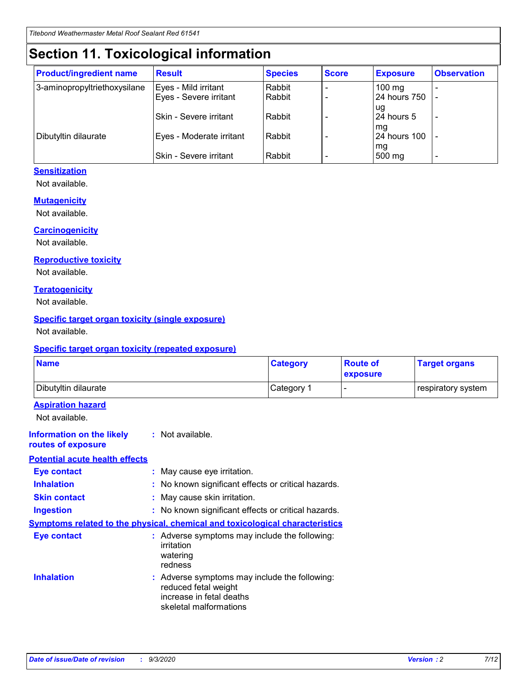## **Section 11. Toxicological information**

| <b>Product/ingredient name</b> | <b>Result</b>            | <b>Species</b> | <b>Score</b> | <b>Exposure</b>    | <b>Observation</b> |
|--------------------------------|--------------------------|----------------|--------------|--------------------|--------------------|
| 3-aminopropyltriethoxysilane   | Eyes - Mild irritant     | Rabbit         |              | $100$ mg           |                    |
|                                | Eyes - Severe irritant   | Rabbit         |              | 24 hours 750       |                    |
|                                |                          |                |              | ug                 |                    |
|                                | Skin - Severe irritant   | Rabbit         |              | 24 hours 5         | -                  |
| Dibutyltin dilaurate           | Eyes - Moderate irritant | Rabbit         |              | mg<br>24 hours 100 |                    |
|                                |                          |                |              | mg                 |                    |
|                                | Skin - Severe irritant   | Rabbit         |              | 500 mg             | -                  |

#### **Sensitization**

Not available.

#### **Mutagenicity**

Not available.

#### **Carcinogenicity**

Not available.

#### **Reproductive toxicity**

Not available.

#### **Teratogenicity**

Not available.

#### **Specific target organ toxicity (single exposure)**

Not available.

#### **Specific target organ toxicity (repeated exposure)**

| <b>Name</b>                                                                  |                                                                            | <b>Category</b>                                     | <b>Route of</b><br>exposure | <b>Target organs</b> |  |  |
|------------------------------------------------------------------------------|----------------------------------------------------------------------------|-----------------------------------------------------|-----------------------------|----------------------|--|--|
| Dibutyltin dilaurate                                                         |                                                                            | Category 1                                          | -                           | respiratory system   |  |  |
| <b>Aspiration hazard</b><br>Not available.                                   |                                                                            |                                                     |                             |                      |  |  |
| <b>Information on the likely</b><br>routes of exposure                       | : Not available.                                                           |                                                     |                             |                      |  |  |
| <b>Potential acute health effects</b>                                        |                                                                            |                                                     |                             |                      |  |  |
| <b>Eye contact</b>                                                           | : May cause eye irritation.                                                |                                                     |                             |                      |  |  |
| <b>Inhalation</b>                                                            |                                                                            | : No known significant effects or critical hazards. |                             |                      |  |  |
| <b>Skin contact</b>                                                          |                                                                            | : May cause skin irritation.                        |                             |                      |  |  |
| <b>Ingestion</b>                                                             |                                                                            | : No known significant effects or critical hazards. |                             |                      |  |  |
| Symptoms related to the physical, chemical and toxicological characteristics |                                                                            |                                                     |                             |                      |  |  |
| <b>Eye contact</b>                                                           | irritation<br>watering<br>redness                                          | : Adverse symptoms may include the following:       |                             |                      |  |  |
| <b>Inhalation</b>                                                            | reduced fetal weight<br>increase in fetal deaths<br>skeletal malformations | : Adverse symptoms may include the following:       |                             |                      |  |  |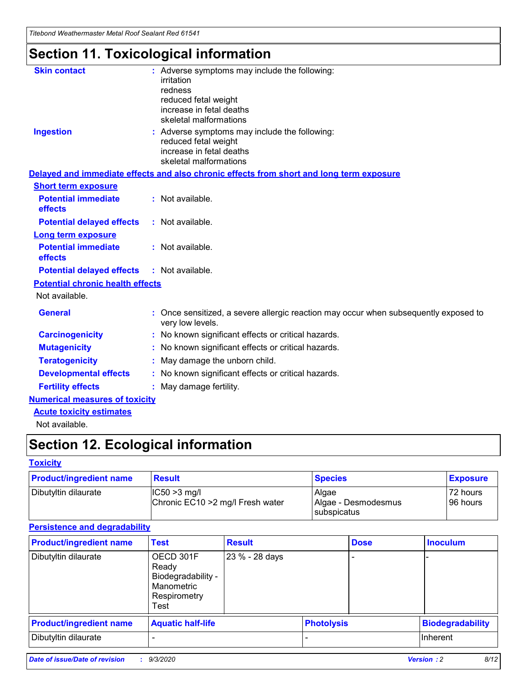*Titebond Weathermaster Metal Roof Sealant Red 61541*

## **Section 11. Toxicological information**

| <b>Skin contact</b>                     | : Adverse symptoms may include the following:<br>irritation                                                                 |  |  |  |  |
|-----------------------------------------|-----------------------------------------------------------------------------------------------------------------------------|--|--|--|--|
|                                         | redness                                                                                                                     |  |  |  |  |
|                                         | reduced fetal weight<br>increase in fetal deaths                                                                            |  |  |  |  |
|                                         | skeletal malformations                                                                                                      |  |  |  |  |
| <b>Ingestion</b>                        | : Adverse symptoms may include the following:<br>reduced fetal weight<br>increase in fetal deaths<br>skeletal malformations |  |  |  |  |
|                                         | Delayed and immediate effects and also chronic effects from short and long term exposure                                    |  |  |  |  |
| <b>Short term exposure</b>              |                                                                                                                             |  |  |  |  |
| <b>Potential immediate</b><br>effects   | : Not available.                                                                                                            |  |  |  |  |
| <b>Potential delayed effects</b>        | : Not available.                                                                                                            |  |  |  |  |
| <b>Long term exposure</b>               |                                                                                                                             |  |  |  |  |
| <b>Potential immediate</b><br>effects   | : Not available.                                                                                                            |  |  |  |  |
| <b>Potential delayed effects</b>        | : Not available.                                                                                                            |  |  |  |  |
| <b>Potential chronic health effects</b> |                                                                                                                             |  |  |  |  |
| Not available.                          |                                                                                                                             |  |  |  |  |
| <b>General</b>                          | Once sensitized, a severe allergic reaction may occur when subsequently exposed to<br>very low levels.                      |  |  |  |  |
| <b>Carcinogenicity</b>                  | : No known significant effects or critical hazards.                                                                         |  |  |  |  |
| <b>Mutagenicity</b>                     | : No known significant effects or critical hazards.                                                                         |  |  |  |  |
| <b>Teratogenicity</b>                   | May damage the unborn child.                                                                                                |  |  |  |  |
| <b>Developmental effects</b>            | : No known significant effects or critical hazards.                                                                         |  |  |  |  |
| <b>Fertility effects</b>                | May damage fertility.                                                                                                       |  |  |  |  |
| <b>Numerical measures of toxicity</b>   |                                                                                                                             |  |  |  |  |
| <b>Acute toxicity estimates</b>         |                                                                                                                             |  |  |  |  |
| الملمانة المستنقط فالمرابط              |                                                                                                                             |  |  |  |  |

Not available.

## **Section 12. Ecological information**

#### **Toxicity**

| <b>Product/ingredient name</b> | <b>Result</b>                                       | <b>Species</b>               | <b>Exposure</b>       |
|--------------------------------|-----------------------------------------------------|------------------------------|-----------------------|
| Dibutyltin dilaurate           | $ CC50>3$ mg/l<br>Chronic EC10 > 2 mg/l Fresh water | Algae<br>Algae - Desmodesmus | 72 hours<br>196 hours |
|                                |                                                     | <b>I</b> subspicatus         |                       |

#### **Persistence and degradability**

| <b>Product/ingredient name</b> | <b>Test</b>                                                                    | <b>Result</b>  |                   | <b>Dose</b> | <b>Inoculum</b>         |
|--------------------------------|--------------------------------------------------------------------------------|----------------|-------------------|-------------|-------------------------|
| Dibutyltin dilaurate           | OECD 301F<br>Ready<br>Biodegradability -<br>Manometric<br>Respirometry<br>Test | 23 % - 28 days |                   |             |                         |
| <b>Product/ingredient name</b> | <b>Aquatic half-life</b>                                                       |                | <b>Photolysis</b> |             | <b>Biodegradability</b> |
| Dibutyltin dilaurate           |                                                                                |                |                   |             | <b>Inherent</b>         |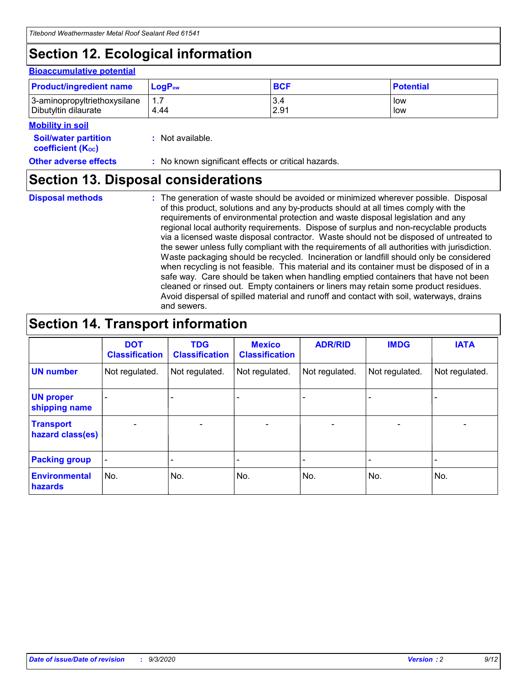## **Section 12. Ecological information**

#### **Bioaccumulative potential**

| <b>Product/ingredient name</b> | <b>LogP</b> <sub>ow</sub> | <b>BCF</b> | <b>Potential</b> |
|--------------------------------|---------------------------|------------|------------------|
| 3-aminopropyltriethoxysilane   | 4.44                      | 3.4        | low              |
| Dibutyltin dilaurate           |                           | 2.91       | low              |

#### **Mobility in soil**

| <b>Soil/water partition</b> | : Not available. |
|-----------------------------|------------------|
| <b>coefficient (Koc)</b>    |                  |

**Other adverse effects** : No known significant effects or critical hazards.

## **Section 13. Disposal considerations**

**Disposal methods :**

The generation of waste should be avoided or minimized wherever possible. Disposal of this product, solutions and any by-products should at all times comply with the requirements of environmental protection and waste disposal legislation and any regional local authority requirements. Dispose of surplus and non-recyclable products via a licensed waste disposal contractor. Waste should not be disposed of untreated to the sewer unless fully compliant with the requirements of all authorities with jurisdiction. Waste packaging should be recycled. Incineration or landfill should only be considered when recycling is not feasible. This material and its container must be disposed of in a safe way. Care should be taken when handling emptied containers that have not been cleaned or rinsed out. Empty containers or liners may retain some product residues. Avoid dispersal of spilled material and runoff and contact with soil, waterways, drains and sewers.

### **Section 14. Transport information**

|                                      | <b>DOT</b><br><b>Classification</b> | <b>TDG</b><br><b>Classification</b> | <b>Mexico</b><br><b>Classification</b> | <b>ADR/RID</b>           | <b>IMDG</b>              | <b>IATA</b>    |
|--------------------------------------|-------------------------------------|-------------------------------------|----------------------------------------|--------------------------|--------------------------|----------------|
| <b>UN number</b>                     | Not regulated.                      | Not regulated.                      | Not regulated.                         | Not regulated.           | Not regulated.           | Not regulated. |
| <b>UN proper</b><br>shipping name    |                                     |                                     |                                        |                          |                          |                |
| <b>Transport</b><br>hazard class(es) |                                     | $\overline{\phantom{0}}$            | $\qquad \qquad \blacksquare$           | $\overline{\phantom{0}}$ | $\overline{\phantom{0}}$ |                |
| <b>Packing group</b>                 |                                     |                                     |                                        |                          |                          |                |
| <b>Environmental</b><br>hazards      | No.                                 | No.                                 | No.                                    | No.                      | No.                      | No.            |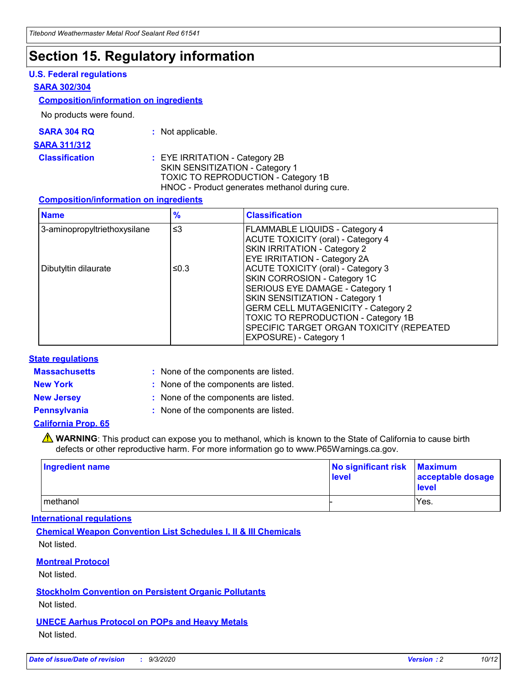### **Section 15. Regulatory information**

#### **U.S. Federal regulations**

#### **SARA 302/304**

#### **Composition/information on ingredients**

No products were found.

| SARA 304 RQ | Not applicable. |
|-------------|-----------------|
|-------------|-----------------|

#### **SARA 311/312**

**Classification :** EYE IRRITATION - Category 2B SKIN SENSITIZATION - Category 1 TOXIC TO REPRODUCTION - Category 1B HNOC - Product generates methanol during cure.

#### **Composition/information on ingredients**

| <b>Name</b>                  | $\frac{9}{6}$ | <b>Classification</b>                                                                                                                                                                                                                                                                                      |
|------------------------------|---------------|------------------------------------------------------------------------------------------------------------------------------------------------------------------------------------------------------------------------------------------------------------------------------------------------------------|
| 3-aminopropyltriethoxysilane | $\leq$ 3      | <b>FLAMMABLE LIQUIDS - Category 4</b><br><b>ACUTE TOXICITY (oral) - Category 4</b><br><b>SKIN IRRITATION - Category 2</b><br>EYE IRRITATION - Category 2A                                                                                                                                                  |
| Dibutyltin dilaurate         | ≤0.3          | <b>ACUTE TOXICITY (oral) - Category 3</b><br>SKIN CORROSION - Category 1C<br>SERIOUS EYE DAMAGE - Category 1<br>SKIN SENSITIZATION - Category 1<br><b>GERM CELL MUTAGENICITY - Category 2</b><br>TOXIC TO REPRODUCTION - Category 1B<br>SPECIFIC TARGET ORGAN TOXICITY (REPEATED<br>EXPOSURE) - Category 1 |

#### **State regulations**

**Massachusetts :**

: None of the components are listed.

**New York :** None of the components are listed. **New Jersey :** None of the components are listed.

**Pennsylvania :** None of the components are listed.

#### **California Prop. 65**

WARNING: This product can expose you to methanol, which is known to the State of California to cause birth defects or other reproductive harm. For more information go to www.P65Warnings.ca.gov.

| Ingredient name | No significant risk<br>level | <b>Maximum</b><br>acceptable dosage<br><b>level</b> |
|-----------------|------------------------------|-----------------------------------------------------|
| l methanol      |                              | Yes.                                                |

#### **International regulations**

**Chemical Weapon Convention List Schedules I, II & III Chemicals** Not listed.

#### **Montreal Protocol**

Not listed.

**Stockholm Convention on Persistent Organic Pollutants**

Not listed.

#### **UNECE Aarhus Protocol on POPs and Heavy Metals** Not listed.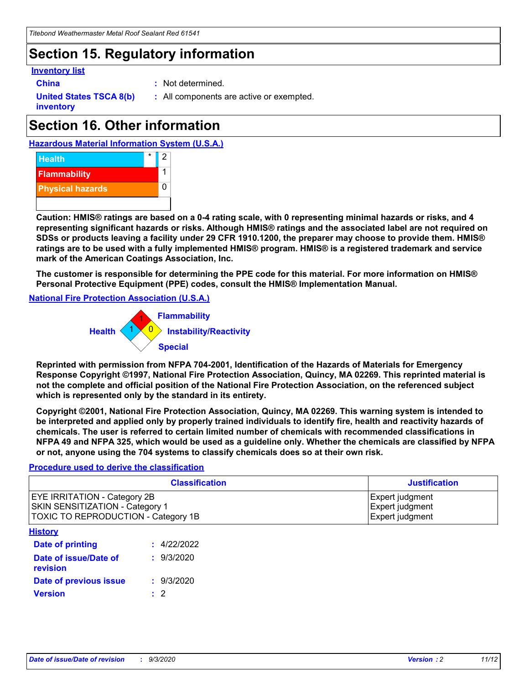## **Section 15. Regulatory information**

#### **Inventory list**

- 
- **China :** Not determined.

**United States TSCA 8(b) inventory**

**:** All components are active or exempted.

## **Section 16. Other information**





**Caution: HMIS® ratings are based on a 0-4 rating scale, with 0 representing minimal hazards or risks, and 4 representing significant hazards or risks. Although HMIS® ratings and the associated label are not required on SDSs or products leaving a facility under 29 CFR 1910.1200, the preparer may choose to provide them. HMIS® ratings are to be used with a fully implemented HMIS® program. HMIS® is a registered trademark and service mark of the American Coatings Association, Inc.**

**The customer is responsible for determining the PPE code for this material. For more information on HMIS® Personal Protective Equipment (PPE) codes, consult the HMIS® Implementation Manual.**

**National Fire Protection Association (U.S.A.)**



**Reprinted with permission from NFPA 704-2001, Identification of the Hazards of Materials for Emergency Response Copyright ©1997, National Fire Protection Association, Quincy, MA 02269. This reprinted material is not the complete and official position of the National Fire Protection Association, on the referenced subject which is represented only by the standard in its entirety.**

**Copyright ©2001, National Fire Protection Association, Quincy, MA 02269. This warning system is intended to be interpreted and applied only by properly trained individuals to identify fire, health and reactivity hazards of chemicals. The user is referred to certain limited number of chemicals with recommended classifications in NFPA 49 and NFPA 325, which would be used as a guideline only. Whether the chemicals are classified by NFPA or not, anyone using the 704 systems to classify chemicals does so at their own risk.**

#### **Procedure used to derive the classification**

| <b>Classification</b>                                                                                         | <b>Justification</b>                                  |
|---------------------------------------------------------------------------------------------------------------|-------------------------------------------------------|
| <b>EYE IRRITATION - Category 2B</b><br>SKIN SENSITIZATION - Category 1<br>TOXIC TO REPRODUCTION - Category 1B | Expert judgment<br>Expert judgment<br>Expert judgment |
| <b>History</b>                                                                                                |                                                       |

| .                                 |             |
|-----------------------------------|-------------|
| <b>Date of printing</b>           | : 4/22/2022 |
| Date of issue/Date of<br>revision | : 9/3/2020  |
| Date of previous issue            | : 9/3/2020  |
| <b>Version</b>                    | $\cdot$ 2   |
|                                   |             |